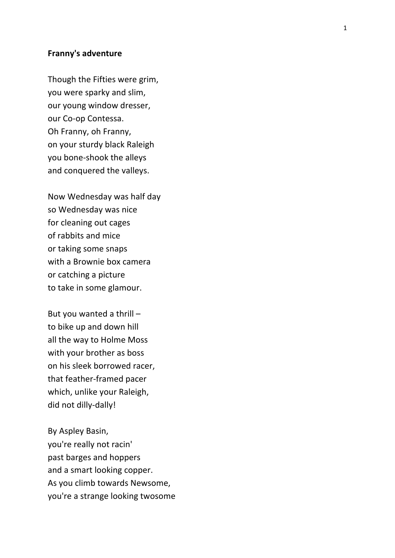## **Franny's
adventure**

Though
the
Fifties
were
grim, you
were
sparky
and
slim, our
young
window
dresser, our
Co ‐op
Contessa. Oh
Franny,
oh
Franny, on
your
sturdy
black
Raleigh you
bone ‐shook
the
alleys and conquered the valleys.

Now
Wednesday
was
half
day so
Wednesday
was
nice for
cleaning
out
cages of
rabbits
and
mice or
taking
some
snaps with
a
Brownie
box
camera or
catching
a
picture to
take
in some
glamour .

But
you
wanted a
thrill – to
bike
up
and
down
hill all
the
way
to
Holme
Moss with your brother as boss on
his
sleek
borrowed
racer, that
feather ‐framed
pacer which,
unlike
your
Raleigh, did not dilly-dally!

By Aspley
Basin, you're
really
not
racin' past
barges
and
hoppers and
a
smart
looking
copper. As
you
climb
towards
Newsome, you're
a
strange
looking
twosome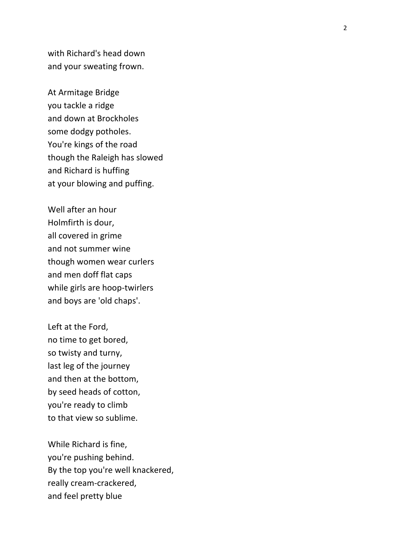with
Richard's
head
down and
your
sweating
frown.

At
Armitage
Bridge you
tackle
a
ridge and
down
at
Brockholes some
dodgy
potholes . You're kings of the road though
the
Raleigh
has
slowed and
Richard
is
huffing at
your
blowing
and
puffing.

Well
after
an
hour Holmfirth
is
dour, all
covered
in
grime and
not
summer
wine though
women
wear
curlers and
men
doff
flat
caps while
girls
are
hoop ‐twirlers and
boys
are 'old
chaps'.

Left
at
the
Ford, no
time
to
get
bored, so
twisty
and
turny , last
leg
of
the
journey and
then
at
the
bottom, by
seed
heads
of
cotton , you're
ready
to
climb to
that
view
so
sublime.

While
Richard
is
fine, you're
pushing
behind. By
the
top
you're
well
knackered , really
crea m ‐crackered , and
feel
pretty
blue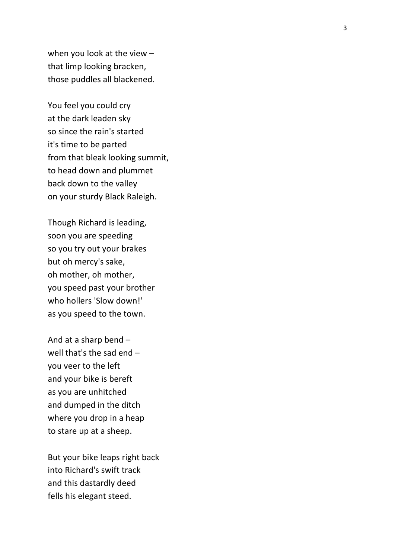when you look at the view that
limp
looking
bracken , those puddles
all
blackened .

You
feel
you
could
cry at
the
dark
leaden
sky so
since
the
rain's
started it's
time
to
be
parted from
that
bleak
looking
summit , to
head
down
and
plummet back
down
to
the
valley on
your
sturdy
Black
Raleigh .

Though
Richard
is
leading, soon
you
are speeding so
you
try
out
your
brakes but
oh
mercy's
sake, oh
mother,
oh
mother , you
spe ed
past
your
brother who
hollers 'Slow
down!' as you speed to the town.

And
at
a
sharp
bend – well that's the sad end you
veer
to
the
left and
your
bike
is
bereft as
you
are unhitched and
dumped
in
the
ditch where you drop in a heap to
stare up
at
a
sheep.

But
your
bike
leaps
right
back into
Richard's
swift
track and
this
dastardly
deed fells
his
elegant
steed.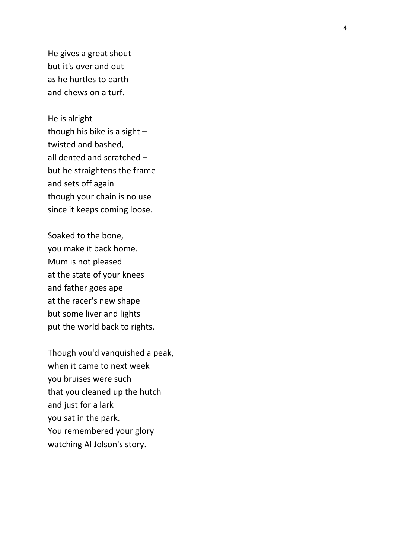He
gives
a
great
shout but
it's
over
and
out as
he
hurtles
to
earth and
chews
on
a
turf.

He
is
alright though his bike is a sight twisted
and
bashed, all
dented
and
scratched – but
he
straightens
the
frame and
set s
off
again though
your
chain
is
no
use since
it
keeps
coming
loose.

Soaked
to
the
bone, you
make
it
back
home. Mum
is
not
pleased at
the
state
of
your
knees and
father
goes
ape at
the
racer's
new
shape but
some
liver
and
lights put
the
world
back
to
rights.

Though
you'd
vanquished
a
peak , when
it
came
to
next
week you
bruises
were
such that
you
cleaned
up
the
hutch and
just
for
a
lark you
sat
in
the
park. You
remembered your
glory watching
Al
Jolson's
story.